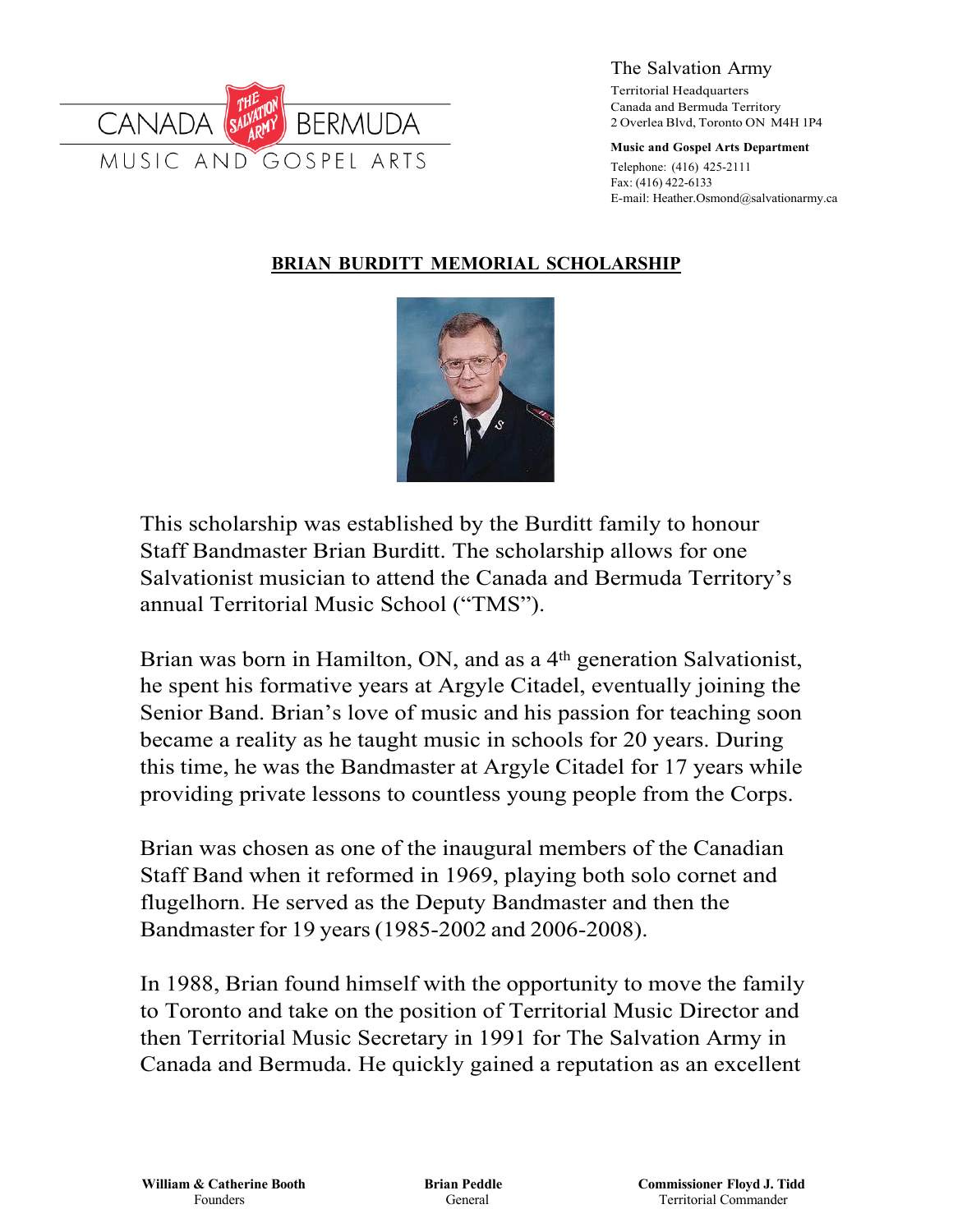

The Salvation Army

Territorial Headquarters Canada and Bermuda Territory 2 Overlea Blvd, Toronto ON M4H 1P4

**Music and Gospel Arts Department**

Telephone: (416) 425-2111 Fax: (416) 422-6133 E-mail: Heather.Osmond@salvationarmy.ca

#### **BRIAN BURDITT MEMORIAL SCHOLARSHIP**



This scholarship was established by the Burditt family to honour Staff Bandmaster Brian Burditt. The scholarship allows for one Salvationist musician to attend the Canada and Bermuda Territory's annual Territorial Music School ("TMS").

Brian was born in Hamilton, ON, and as a 4<sup>th</sup> generation Salvationist, he spent his formative years at Argyle Citadel, eventually joining the Senior Band. Brian's love of music and his passion for teaching soon became a reality as he taught music in schools for 20 years. During this time, he was the Bandmaster at Argyle Citadel for 17 years while providing private lessons to countless young people from the Corps.

Brian was chosen as one of the inaugural members of the Canadian Staff Band when it reformed in 1969, playing both solo cornet and flugelhorn. He served as the Deputy Bandmaster and then the Bandmaster for 19 years(1985-2002 and 2006-2008).

In 1988, Brian found himself with the opportunity to move the family to Toronto and take on the position of Territorial Music Director and then Territorial Music Secretary in 1991 for The Salvation Army in Canada and Bermuda. He quickly gained a reputation as an excellent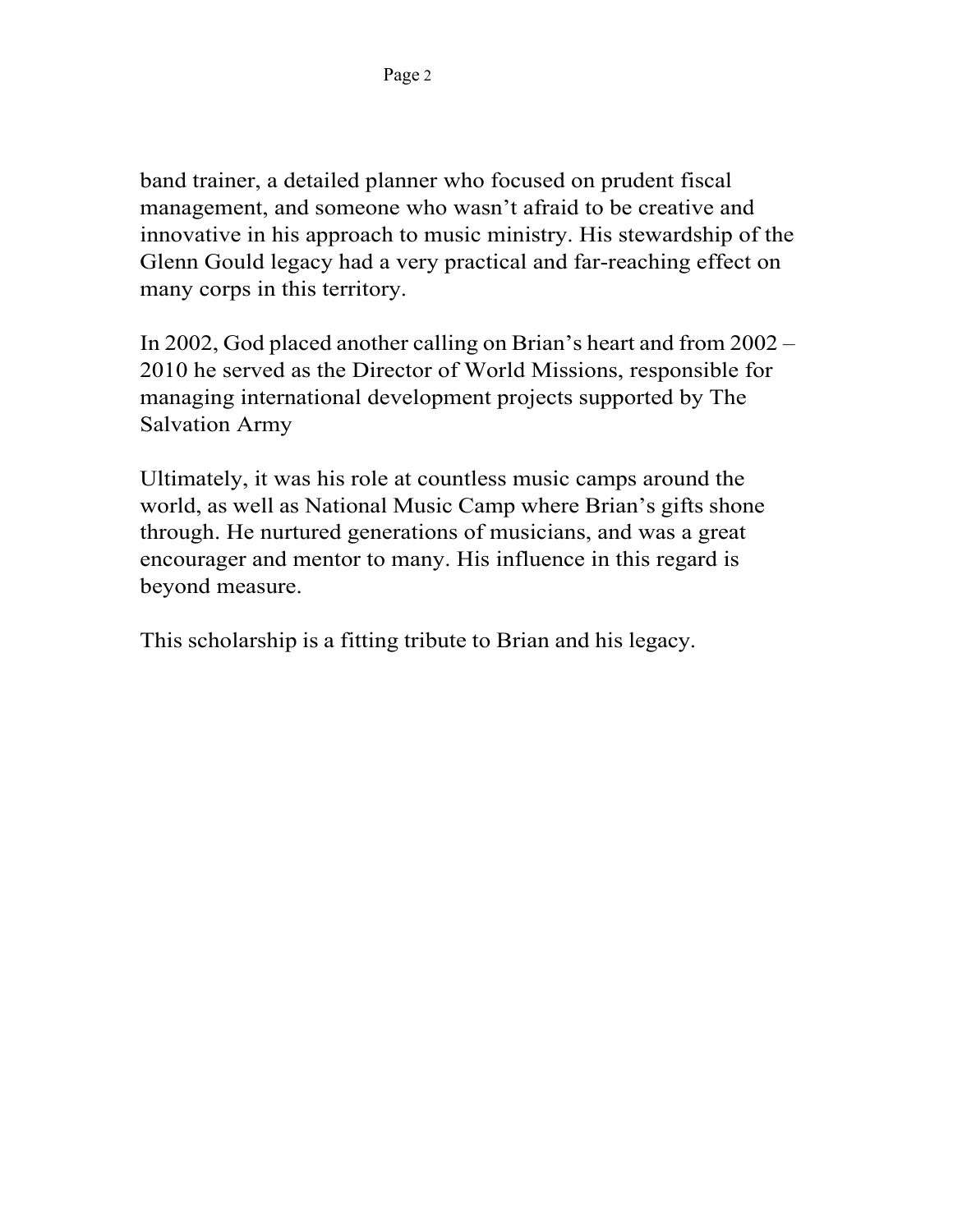band trainer, a detailed planner who focused on prudent fiscal management, and someone who wasn't afraid to be creative and innovative in his approach to music ministry. His stewardship of the Glenn Gould legacy had a very practical and far-reaching effect on many corps in this territory.

In 2002, God placed another calling on Brian's heart and from 2002 – 2010 he served as the Director of World Missions, responsible for managing international development projects supported by The Salvation Army

Ultimately, it was his role at countless music camps around the world, as well as National Music Camp where Brian's gifts shone through. He nurtured generations of musicians, and was a great encourager and mentor to many. His influence in this regard is beyond measure.

This scholarship is a fitting tribute to Brian and his legacy.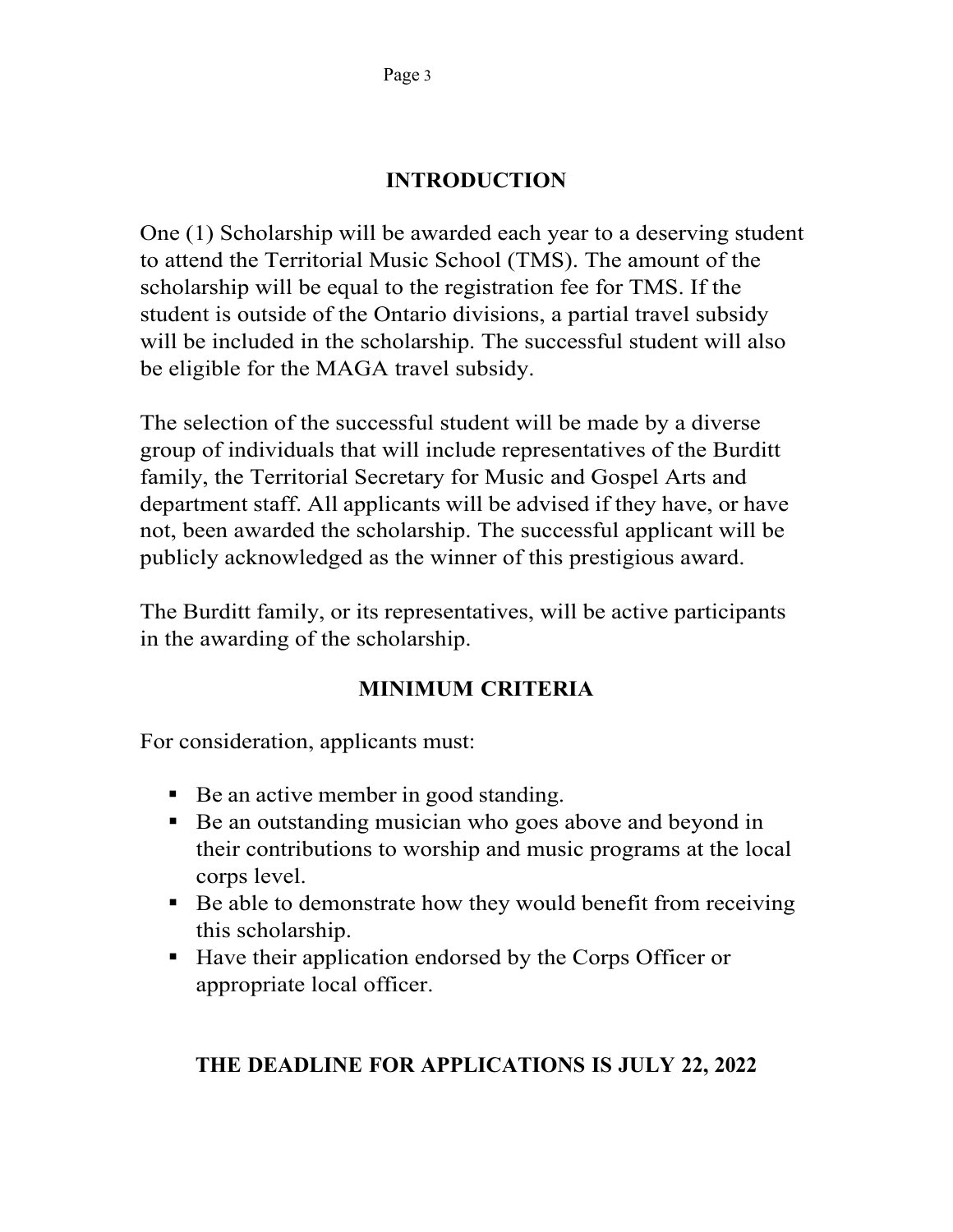# **INTRODUCTION**

One (1) Scholarship will be awarded each year to a deserving student to attend the Territorial Music School (TMS). The amount of the scholarship will be equal to the registration fee for TMS. If the student is outside of the Ontario divisions, a partial travel subsidy will be included in the scholarship. The successful student will also be eligible for the MAGA travel subsidy.

The selection of the successful student will be made by a diverse group of individuals that will include representatives of the Burditt family, the Territorial Secretary for Music and Gospel Arts and department staff. All applicants will be advised if they have, or have not, been awarded the scholarship. The successful applicant will be publicly acknowledged as the winner of this prestigious award.

The Burditt family, or its representatives, will be active participants in the awarding of the scholarship.

# **MINIMUM CRITERIA**

For consideration, applicants must:

- Be an active member in good standing.
- Be an outstanding musician who goes above and beyond in their contributions to worship and music programs at the local corps level.
- Be able to demonstrate how they would benefit from receiving this scholarship.
- Have their application endorsed by the Corps Officer or appropriate local officer.

### **THE DEADLINE FOR APPLICATIONS IS JULY 22, 2022**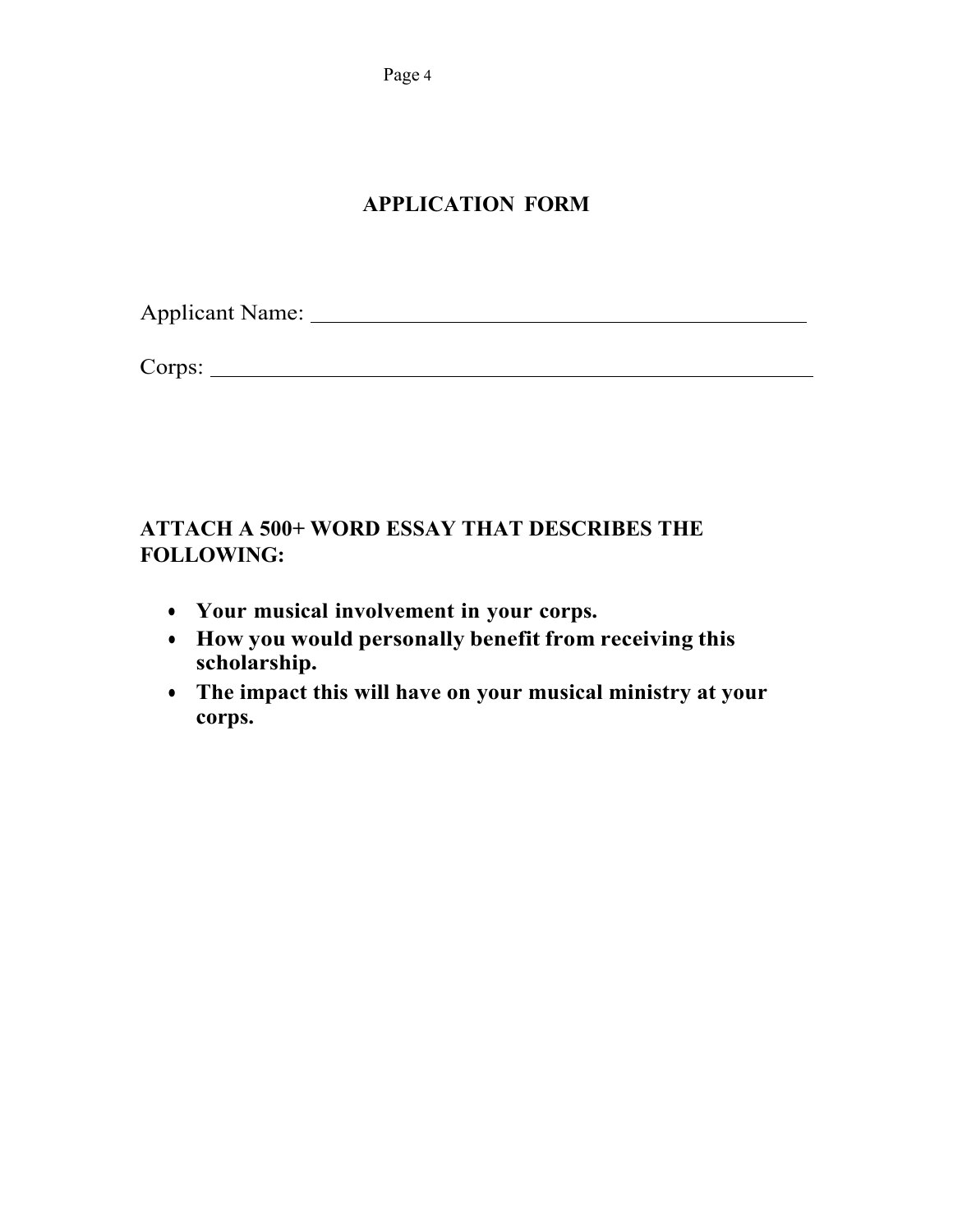Page 4

# **APPLICATION FORM**

Applicant Name:

Corps:

# **ATTACH A 500+ WORD ESSAY THAT DESCRIBES THE FOLLOWING:**

- **Your musical involvement in your corps.**
- **How you would personally benefit from receiving this scholarship.**
- **The impact this will have on your musical ministry at your corps.**